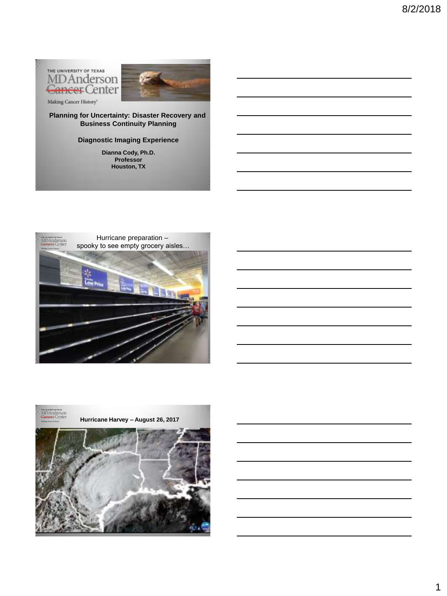THE UNIVERSITY OF TEXAS MDAnderson Cancer Center



Making Cancer History"

**Planning for Uncertainty: Disaster Recovery and Business Continuity Planning**

### **Diagnostic Imaging Experience**

**Dianna Cody, Ph.D. Professor Houston, TX**



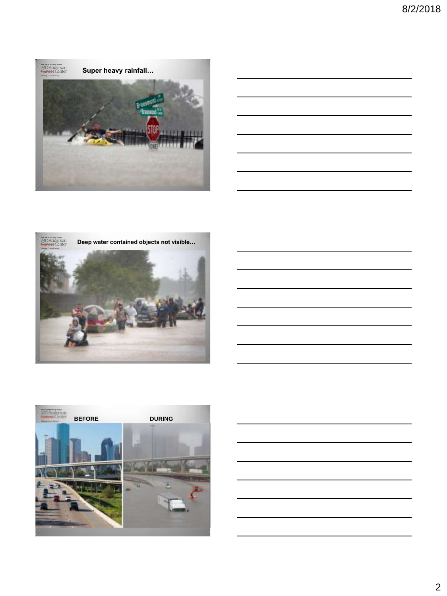

| <u> 1989 - Johann Stoff, amerikansk politiker (d. 1989)</u>                                                           |  |                                |
|-----------------------------------------------------------------------------------------------------------------------|--|--------------------------------|
|                                                                                                                       |  | and the control of the control |
| <u> 1989 - Johann Stoff, deutscher Stoff, der Stoff, der Stoff, der Stoff, der Stoff, der Stoff, der Stoff, der S</u> |  |                                |
| <u> 1989 - Johann Stoff, deutscher Stoff, der Stoff, der Stoff, der Stoff, der Stoff, der Stoff, der Stoff, der S</u> |  |                                |
|                                                                                                                       |  |                                |
|                                                                                                                       |  |                                |







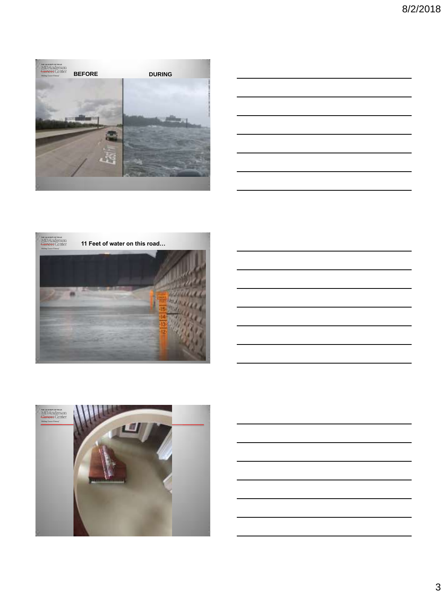

|                                                                 | <u> 1989 - Andrea Andrew Maria (h. 1989).</u>                                                                         |  |  |
|-----------------------------------------------------------------|-----------------------------------------------------------------------------------------------------------------------|--|--|
|                                                                 | <u> 1989 - Johann Stoff, amerikansk politiker (d. 1989)</u>                                                           |  |  |
|                                                                 | <u> 1989 - Johann Stoff, deutscher Stoff, der Stoff, der Stoff, der Stoff, der Stoff, der Stoff, der Stoff, der S</u> |  |  |
| <u> 1989 - Johann Barn, mars an t-Amerikaansk kommunister (</u> |                                                                                                                       |  |  |
|                                                                 | <u> 1980 - Johann Stoff, amerikansk politiker (d. 1980)</u>                                                           |  |  |
|                                                                 |                                                                                                                       |  |  |





3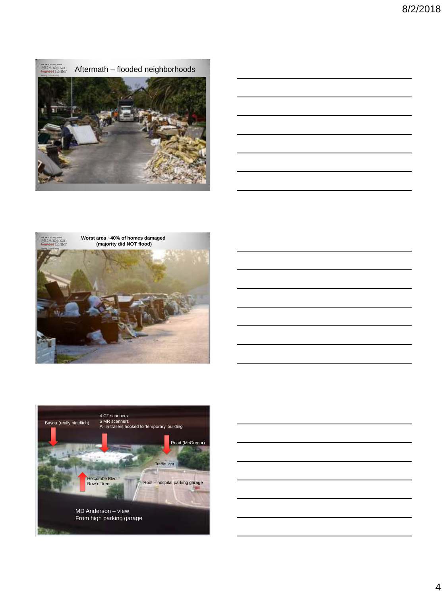







MD Anderson – view From high parking garage

olcombe Blvd. Row of trees

4 CT scanners 6 MR scanners

Bayou (really big ditch)

o ivi<del>k scanners</del><br>All in trailers hooked to 'temporary' building

Traffic light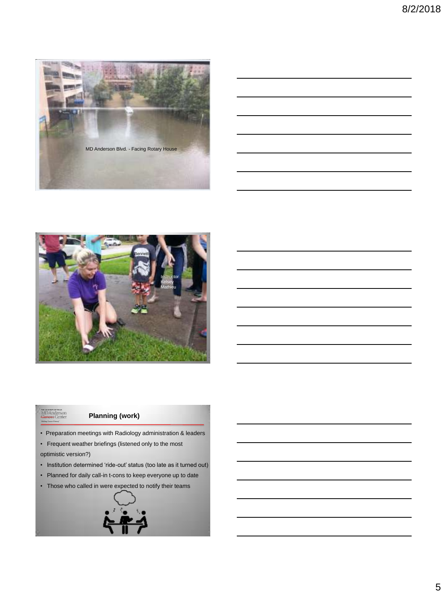



# me www.meror.news<br>MDAnderson<br><del>Cancer</del> Center

## **Planning (work)**

- Preparation meetings with Radiology administration & leaders
- Frequent weather briefings (listened only to the most

optimistic version?)

- Institution determined 'ride-out' status (too late as it turned out)
- Planned for daily call-in t-cons to keep everyone up to date
- Those who called in were expected to notify their teams

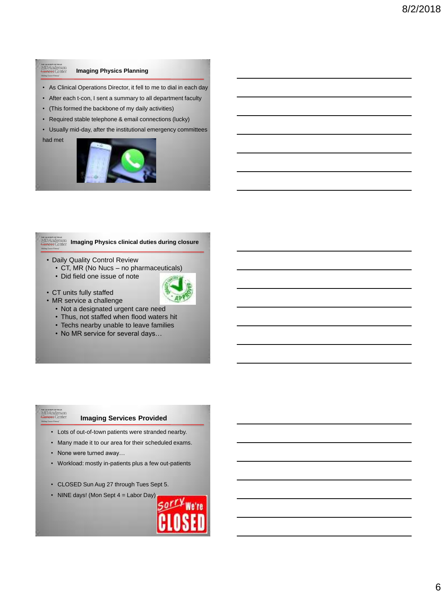# MDAnderson<br><del>Cancer</del> Center

### **Imaging Physics Planning**

- As Clinical Operations Director, it fell to me to dial in each day
- After each t-con, I sent a summary to all department faculty
- (This formed the backbone of my daily activities)
- Required stable telephone & email connections (lucky)
- Usually mid-day, after the institutional emergency committees

had met



# **IMBAnderson Imaging Physics clinical duties during closure**

- Daily Quality Control Review
	- CT, MR (No Nucs no pharmaceuticals)
	- Did field one issue of note
- CT units fully staffed
- 
- MR service a challenge
	- Not a designated urgent care need • Thus, not staffed when flood waters hit
	-
	- Techs nearby unable to leave families
	- No MR service for several days…

### **Imaging Services Provided**

- Lots of out-of-town patients were stranded nearby.
- Many made it to our area for their scheduled exams.
- None were turned away…

www.com<br>MDAnderson<br><del>Bancer</del> Center

- Workload: mostly in-patients plus a few out-patients
- CLOSED Sun Aug 27 through Tues Sept 5.
- NINE days! (Mon Sept 4 = Labor Day)

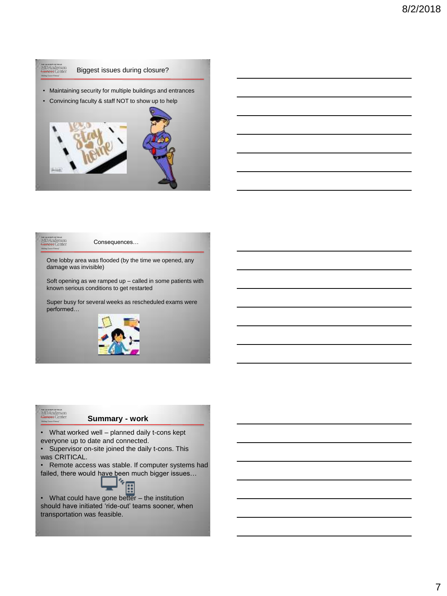



**MDAnderson**<br>MDAnderson<br><del>Cancer</del> Center

Consequences…

One lobby area was flooded (by the time we opened, any damage was invisible)

Soft opening as we ramped up – called in some patients with known serious conditions to get restarted

Super busy for several weeks as rescheduled exams were performed…



# MDAnderson<br>MDAnderson<br><del>Cancer</del> Center

#### **Summary - work**

• What worked well – planned daily t-cons kept everyone up to date and connected.

• Supervisor on-site joined the daily t-cons. This was CRITICAL.

Remote access was stable. If computer systems had failed, there would have been much bigger issues...<br>  $\begin{bmatrix} \bullet & \bullet \\ \bullet & \bullet \\ \bullet & \bullet \end{bmatrix}$ 



• What could have gone better – the institution should have initiated 'ride-out' teams sooner, when transportation was feasible.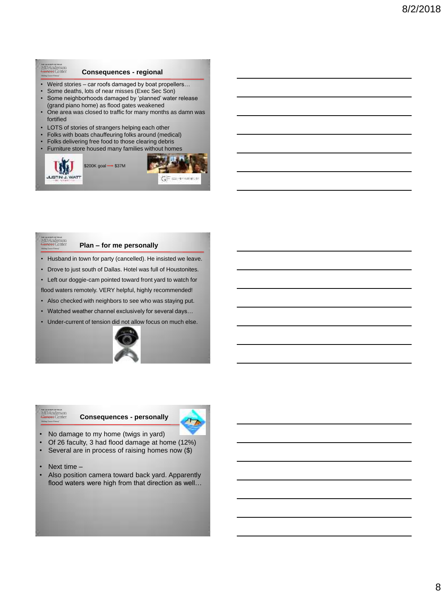#### **MDAnderson**<br>**Gancer** Center **Consequences - regional**

- Weird stories car roofs damaged by boat propellers…
- Some deaths, lots of near misses (Exec Sec Son)
- Some neighborhoods damaged by 'planned' water release (grand piano home) as flood gates weakened
- One area was closed to traffic for many months as damn was fortified
- LOTS of stories of strangers helping each other
- Folks with boats chauffeuring folks around (medical)
- Folks delivering free food to those clearing debris
- Furniture store housed many families without homes





**Plan – for me personally**

MD Anderson

- Husband in town for party (cancelled). He insisted we leave.
- Drove to just south of Dallas. Hotel was full of Houstonites.
- Left our doggie-cam pointed toward front yard to watch for flood waters remotely. VERY helpful, highly recommended!
- Also checked with neighbors to see who was staying put.
- Watched weather channel exclusively for several days…
- Under-current of tension did not allow focus on much else.



#### **Consequences - personally**



- No damage to my home (twigs in yard)
- Of 26 faculty, 3 had flood damage at home (12%)
- Several are in process of raising homes now (\$)
- Next time -

me unonum or reas<br>MD Anderson<br><del>Cancer</del> Center

Also position camera toward back yard. Apparently flood waters were high from that direction as well…